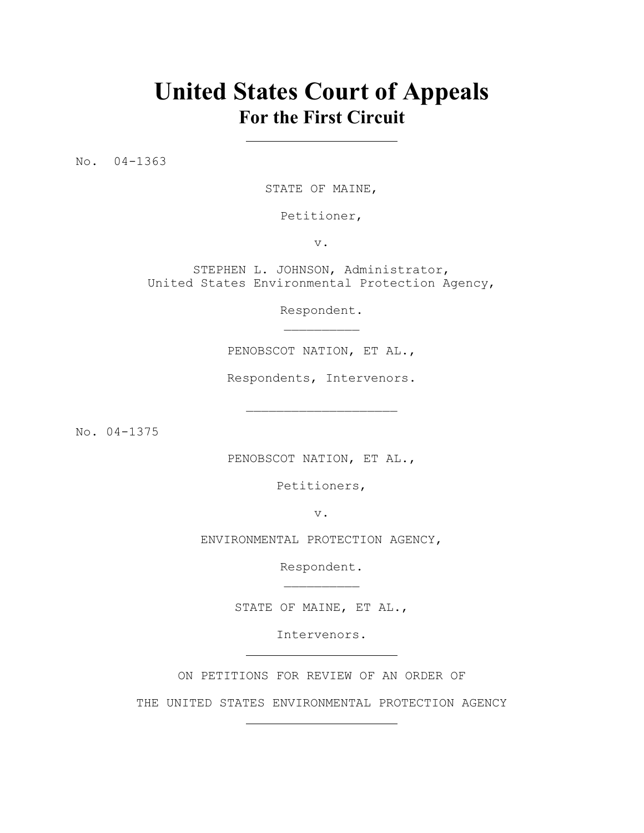## **United States Court of Appeals For the First Circuit**

No. 04-1363

STATE OF MAINE,

Petitioner,

v.

STEPHEN L. JOHNSON, Administrator, United States Environmental Protection Agency,

> Respondent.  $\mathcal{L}_\text{max}$

PENOBSCOT NATION, ET AL.,

Respondents, Intervenors.

 $\mathcal{L}_\text{max}$ 

No. 04-1375

PENOBSCOT NATION, ET AL.,

Petitioners,

v.

ENVIRONMENTAL PROTECTION AGENCY,

Respondent.  $\mathcal{L}_\text{max}$ 

STATE OF MAINE, ET AL.,

Intervenors.

ON PETITIONS FOR REVIEW OF AN ORDER OF

THE UNITED STATES ENVIRONMENTAL PROTECTION AGENCY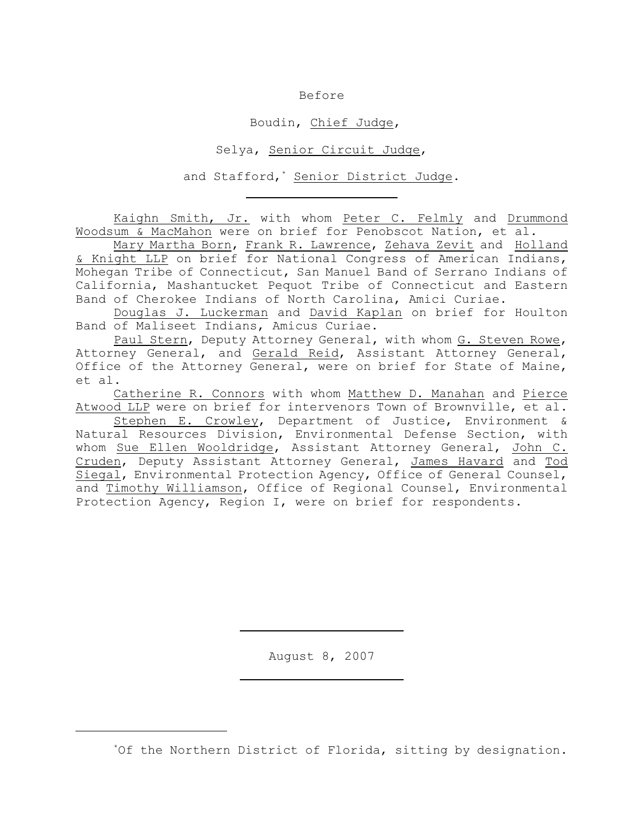Before

Boudin, Chief Judge,

Selya, Senior Circuit Judge,

and Stafford,<sup>\*</sup> Senior District Judge.

Kaighn Smith, Jr. with whom Peter C. Felmly and Drummond Woodsum & MacMahon were on brief for Penobscot Nation, et al.

Mary Martha Born, Frank R. Lawrence, Zehava Zevit and Holland & Knight LLP on brief for National Congress of American Indians, Mohegan Tribe of Connecticut, San Manuel Band of Serrano Indians of California, Mashantucket Pequot Tribe of Connecticut and Eastern Band of Cherokee Indians of North Carolina, Amici Curiae.

Douglas J. Luckerman and David Kaplan on brief for Houlton Band of Maliseet Indians, Amicus Curiae.

Paul Stern, Deputy Attorney General, with whom G. Steven Rowe, Attorney General, and Gerald Reid, Assistant Attorney General, Office of the Attorney General, were on brief for State of Maine, et al.

Catherine R. Connors with whom Matthew D. Manahan and Pierce Atwood LLP were on brief for intervenors Town of Brownville, et al.

Stephen E. Crowley, Department of Justice, Environment & Natural Resources Division, Environmental Defense Section, with whom Sue Ellen Wooldridge, Assistant Attorney General, John C. Cruden, Deputy Assistant Attorney General, James Havard and Tod Siegal, Environmental Protection Agency, Office of General Counsel, and Timothy Williamson, Office of Regional Counsel, Environmental Protection Agency, Region I, were on brief for respondents.

August 8, 2007

\*Of the Northern District of Florida, sitting by designation.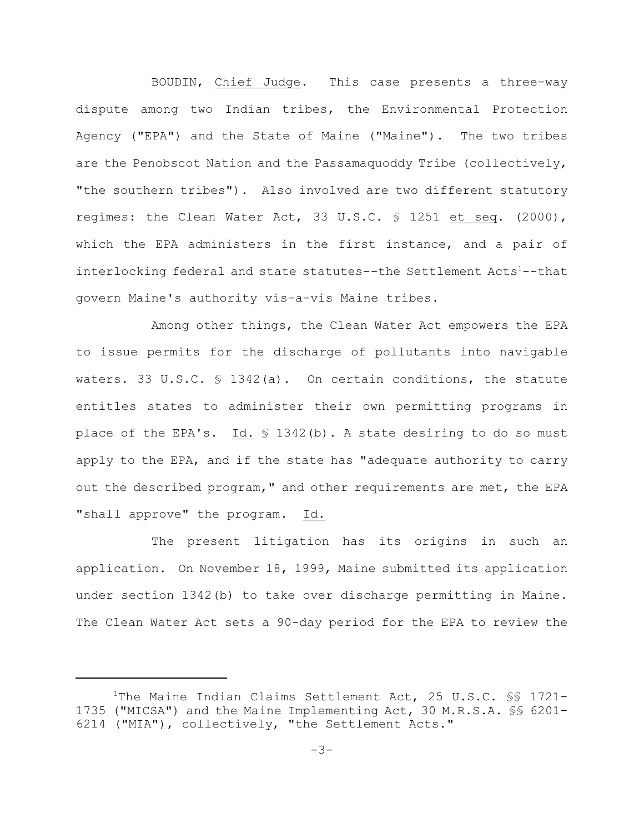BOUDIN, Chief Judge. This case presents a three-way dispute among two Indian tribes, the Environmental Protection Agency ("EPA") and the State of Maine ("Maine"). The two tribes are the Penobscot Nation and the Passamaquoddy Tribe (collectively, "the southern tribes"). Also involved are two different statutory regimes: the Clean Water Act, 33 U.S.C. § 1251 et seq. (2000), which the EPA administers in the first instance, and a pair of interlocking federal and state statutes--the Settlement Acts<sup>1</sup>--that govern Maine's authority vis-a-vis Maine tribes.

Among other things, the Clean Water Act empowers the EPA to issue permits for the discharge of pollutants into navigable waters. 33 U.S.C.  $\frac{1342(a)}{a}$ . On certain conditions, the statute entitles states to administer their own permitting programs in place of the EPA's. Id. § 1342(b). A state desiring to do so must apply to the EPA, and if the state has "adequate authority to carry out the described program," and other requirements are met, the EPA "shall approve" the program. Id.

The present litigation has its origins in such an application. On November 18, 1999, Maine submitted its application under section 1342(b) to take over discharge permitting in Maine. The Clean Water Act sets a 90-day period for the EPA to review the

<sup>&</sup>lt;sup>1</sup>The Maine Indian Claims Settlement Act, 25 U.S.C.  $\$ § 1721-1735 ("MICSA") and the Maine Implementing Act, 30 M.R.S.A. §§ 6201- 6214 ("MIA"), collectively, "the Settlement Acts."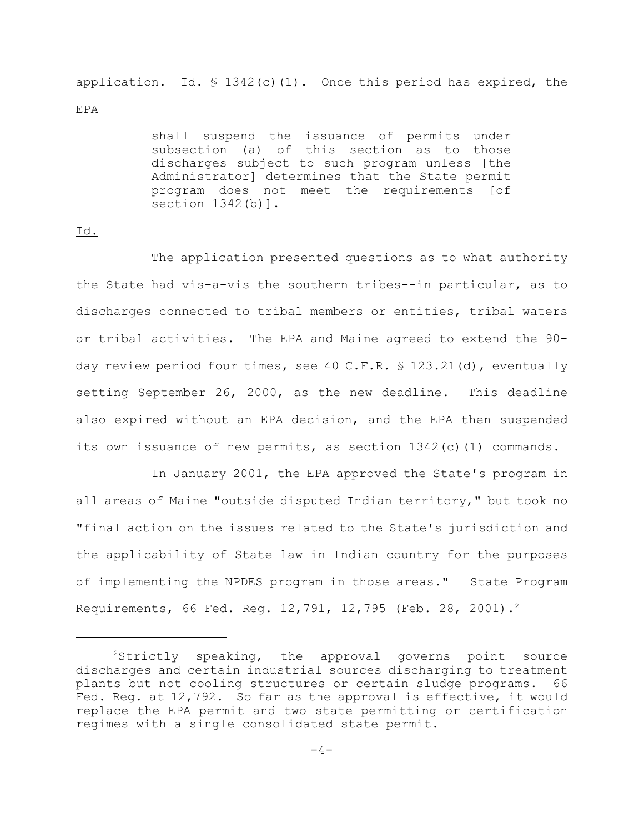application.  $Id. \$  1342(c)(1). Once this period has expired, the EPA

> shall suspend the issuance of permits under subsection (a) of this section as to those discharges subject to such program unless [the Administrator] determines that the State permit program does not meet the requirements [of section 1342(b)].

## Id.

The application presented questions as to what authority the State had vis-a-vis the southern tribes--in particular, as to discharges connected to tribal members or entities, tribal waters or tribal activities. The EPA and Maine agreed to extend the 90 day review period four times, see 40 C.F.R. § 123.21(d), eventually setting September 26, 2000, as the new deadline. This deadline also expired without an EPA decision, and the EPA then suspended its own issuance of new permits, as section  $1342(c)(1)$  commands.

In January 2001, the EPA approved the State's program in all areas of Maine "outside disputed Indian territory," but took no "final action on the issues related to the State's jurisdiction and the applicability of State law in Indian country for the purposes of implementing the NPDES program in those areas." State Program Requirements, 66 Fed. Reg. 12,791, 12,795 (Feb. 28, 2001).<sup>2</sup>

 $2$ Strictly speaking, the approval governs point source discharges and certain industrial sources discharging to treatment plants but not cooling structures or certain sludge programs. 66 Fed. Reg. at 12,792. So far as the approval is effective, it would replace the EPA permit and two state permitting or certification regimes with a single consolidated state permit.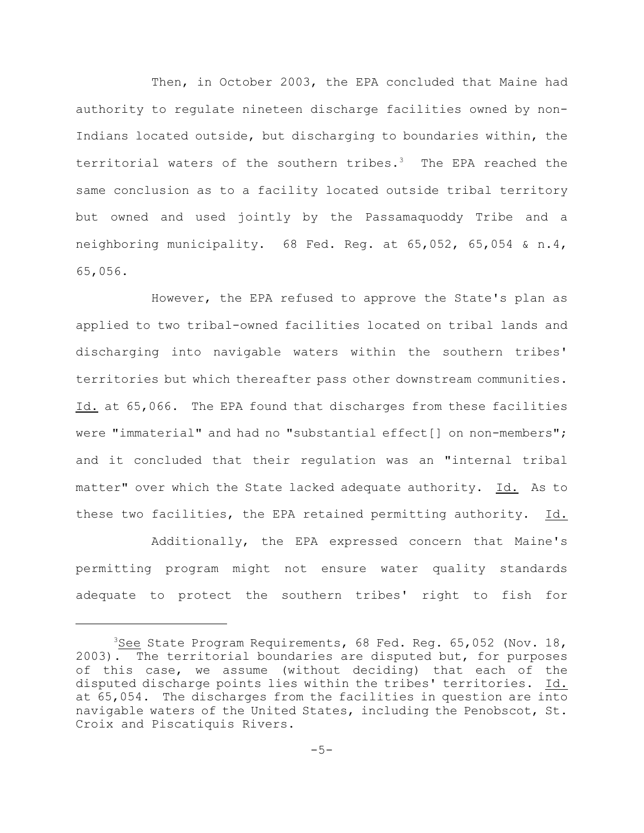Then, in October 2003, the EPA concluded that Maine had authority to regulate nineteen discharge facilities owned by non-Indians located outside, but discharging to boundaries within, the territorial waters of the southern tribes.<sup>3</sup> The EPA reached the same conclusion as to a facility located outside tribal territory but owned and used jointly by the Passamaquoddy Tribe and a neighboring municipality. 68 Fed. Reg. at 65,052, 65,054 & n.4, 65,056.

However, the EPA refused to approve the State's plan as applied to two tribal-owned facilities located on tribal lands and discharging into navigable waters within the southern tribes' territories but which thereafter pass other downstream communities. Id. at 65,066. The EPA found that discharges from these facilities were "immaterial" and had no "substantial effect[] on non-members"; and it concluded that their regulation was an "internal tribal matter" over which the State lacked adequate authority. Id. As to these two facilities, the EPA retained permitting authority. Id.

Additionally, the EPA expressed concern that Maine's permitting program might not ensure water quality standards adequate to protect the southern tribes' right to fish for

 $3$ See State Program Requirements, 68 Fed. Reg. 65,052 (Nov. 18, 2003). The territorial boundaries are disputed but, for purposes of this case, we assume (without deciding) that each of the disputed discharge points lies within the tribes' territories. Id. at 65,054. The discharges from the facilities in question are into navigable waters of the United States, including the Penobscot, St. Croix and Piscatiquis Rivers.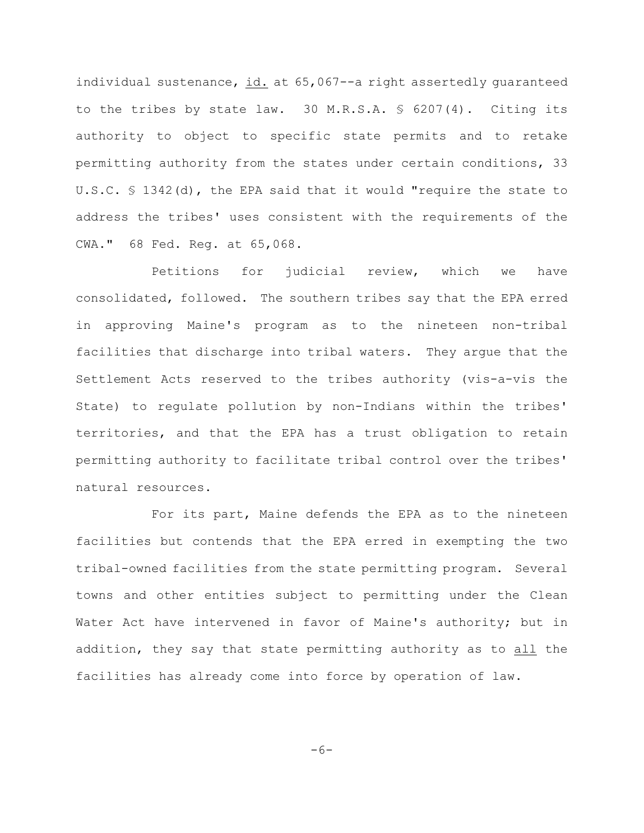individual sustenance, id. at 65,067--a right assertedly guaranteed to the tribes by state law. 30 M.R.S.A. § 6207(4). Citing its authority to object to specific state permits and to retake permitting authority from the states under certain conditions, 33 U.S.C. § 1342(d), the EPA said that it would "require the state to address the tribes' uses consistent with the requirements of the CWA." 68 Fed. Reg. at 65,068.

Petitions for judicial review, which we have consolidated, followed. The southern tribes say that the EPA erred in approving Maine's program as to the nineteen non-tribal facilities that discharge into tribal waters. They argue that the Settlement Acts reserved to the tribes authority (vis-a-vis the State) to regulate pollution by non-Indians within the tribes' territories, and that the EPA has a trust obligation to retain permitting authority to facilitate tribal control over the tribes' natural resources.

For its part, Maine defends the EPA as to the nineteen facilities but contends that the EPA erred in exempting the two tribal-owned facilities from the state permitting program. Several towns and other entities subject to permitting under the Clean Water Act have intervened in favor of Maine's authority; but in addition, they say that state permitting authority as to all the facilities has already come into force by operation of law.

$$
-6-
$$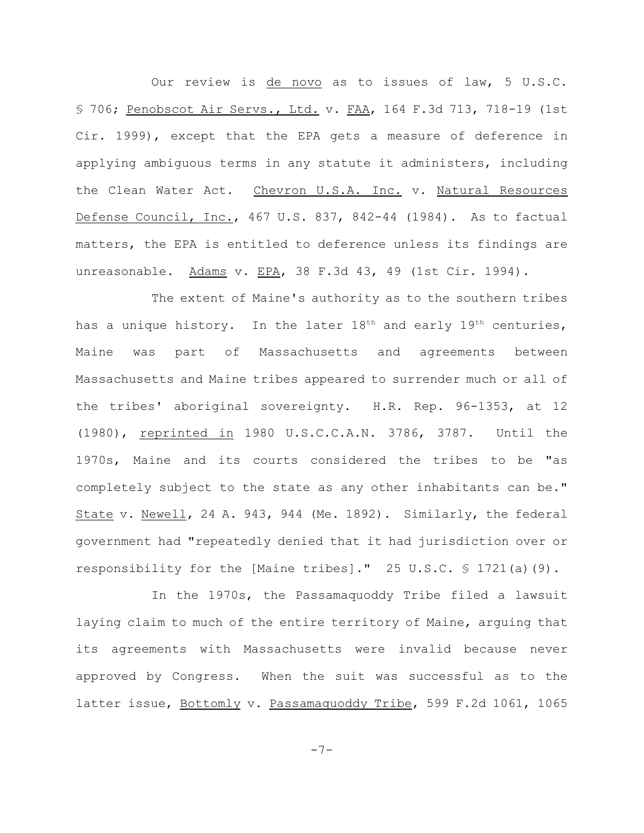Our review is de novo as to issues of law, 5 U.S.C. § 706; Penobscot Air Servs., Ltd. v. FAA, 164 F.3d 713, 718-19 (1st Cir. 1999), except that the EPA gets a measure of deference in applying ambiguous terms in any statute it administers, including the Clean Water Act. Chevron U.S.A. Inc. v. Natural Resources Defense Council, Inc., 467 U.S. 837, 842-44 (1984). As to factual matters, the EPA is entitled to deference unless its findings are unreasonable. Adams v. EPA, 38 F.3d 43, 49 (1st Cir. 1994).

The extent of Maine's authority as to the southern tribes has a unique history. In the later  $18<sup>th</sup>$  and early  $19<sup>th</sup>$  centuries, Maine was part of Massachusetts and agreements between Massachusetts and Maine tribes appeared to surrender much or all of the tribes' aboriginal sovereignty. H.R. Rep. 96-1353, at 12 (1980), reprinted in 1980 U.S.C.C.A.N. 3786, 3787. Until the 1970s, Maine and its courts considered the tribes to be "as completely subject to the state as any other inhabitants can be." State v. Newell, 24 A. 943, 944 (Me. 1892). Similarly, the federal government had "repeatedly denied that it had jurisdiction over or responsibility for the [Maine tribes]." 25 U.S.C. § 1721(a)(9).

In the 1970s, the Passamaquoddy Tribe filed a lawsuit laying claim to much of the entire territory of Maine, arguing that its agreements with Massachusetts were invalid because never approved by Congress. When the suit was successful as to the latter issue, Bottomly v. Passamaquoddy Tribe, 599 F.2d 1061, 1065

-7-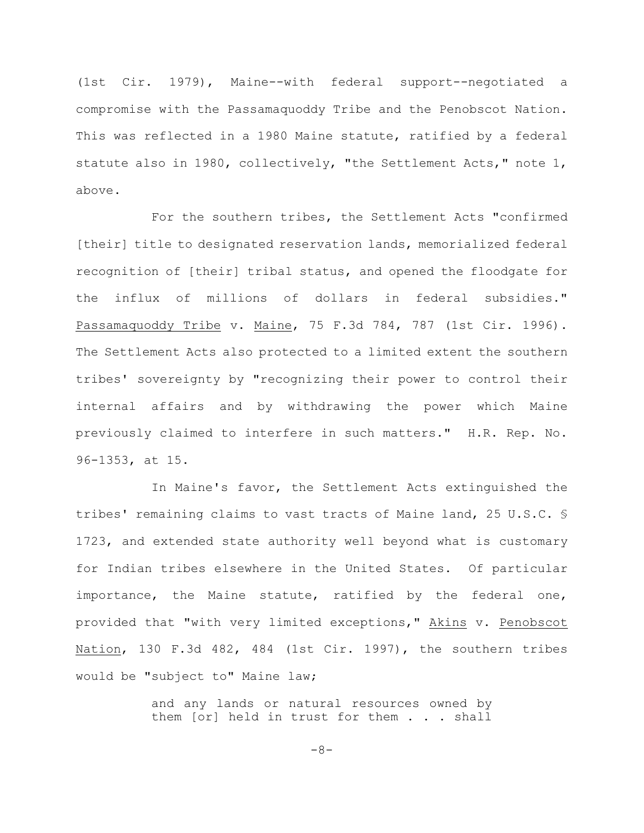(1st Cir. 1979), Maine--with federal support--negotiated a compromise with the Passamaquoddy Tribe and the Penobscot Nation. This was reflected in a 1980 Maine statute, ratified by a federal statute also in 1980, collectively, "the Settlement Acts," note 1, above.

For the southern tribes, the Settlement Acts "confirmed [their] title to designated reservation lands, memorialized federal recognition of [their] tribal status, and opened the floodgate for the influx of millions of dollars in federal subsidies." Passamaquoddy Tribe v. Maine, 75 F.3d 784, 787 (1st Cir. 1996). The Settlement Acts also protected to a limited extent the southern tribes' sovereignty by "recognizing their power to control their internal affairs and by withdrawing the power which Maine previously claimed to interfere in such matters." H.R. Rep. No. 96-1353, at 15.

In Maine's favor, the Settlement Acts extinguished the tribes' remaining claims to vast tracts of Maine land, 25 U.S.C. § 1723, and extended state authority well beyond what is customary for Indian tribes elsewhere in the United States. Of particular importance, the Maine statute, ratified by the federal one, provided that "with very limited exceptions," Akins v. Penobscot Nation, 130 F.3d 482, 484 (1st Cir. 1997), the southern tribes would be "subject to" Maine law;

> and any lands or natural resources owned by them [or] held in trust for them . . . shall

> > -8-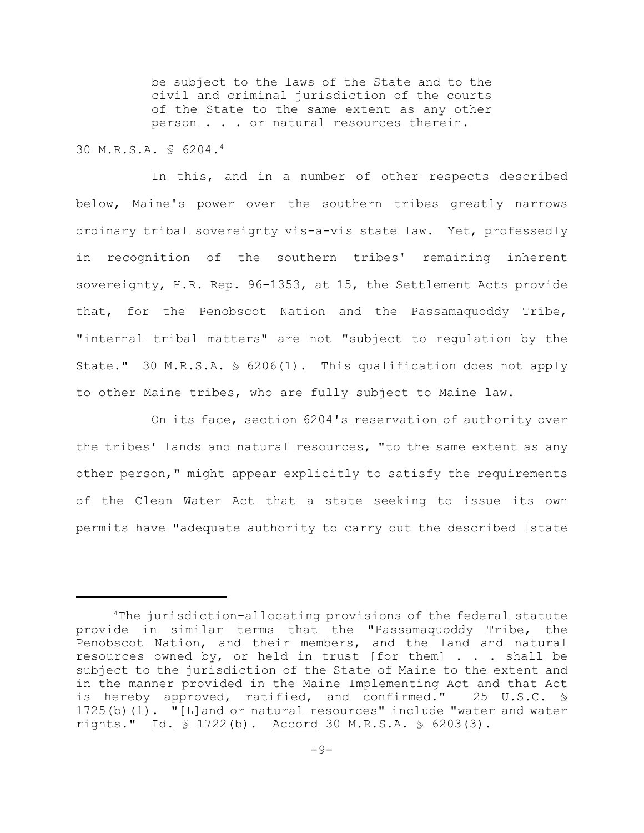be subject to the laws of the State and to the civil and criminal jurisdiction of the courts of the State to the same extent as any other person . . . or natural resources therein.

30 M.R.S.A. § 6204.<sup>4</sup>

In this, and in a number of other respects described below, Maine's power over the southern tribes greatly narrows ordinary tribal sovereignty vis-a-vis state law. Yet, professedly in recognition of the southern tribes' remaining inherent sovereignty, H.R. Rep. 96-1353, at 15, the Settlement Acts provide that, for the Penobscot Nation and the Passamaquoddy Tribe, "internal tribal matters" are not "subject to regulation by the State." 30 M.R.S.A. § 6206(1). This qualification does not apply to other Maine tribes, who are fully subject to Maine law.

On its face, section 6204's reservation of authority over the tribes' lands and natural resources, "to the same extent as any other person," might appear explicitly to satisfy the requirements of the Clean Water Act that a state seeking to issue its own permits have "adequate authority to carry out the described [state

 $4$ The jurisdiction-allocating provisions of the federal statute provide in similar terms that the "Passamaquoddy Tribe, the Penobscot Nation, and their members, and the land and natural resources owned by, or held in trust [for them] . . . shall be subject to the jurisdiction of the State of Maine to the extent and in the manner provided in the Maine Implementing Act and that Act is hereby approved, ratified, and confirmed." 25 U.S.C. § 1725(b)(1). "[L]and or natural resources" include "water and water rights." Id. § 1722(b). Accord 30 M.R.S.A. § 6203(3).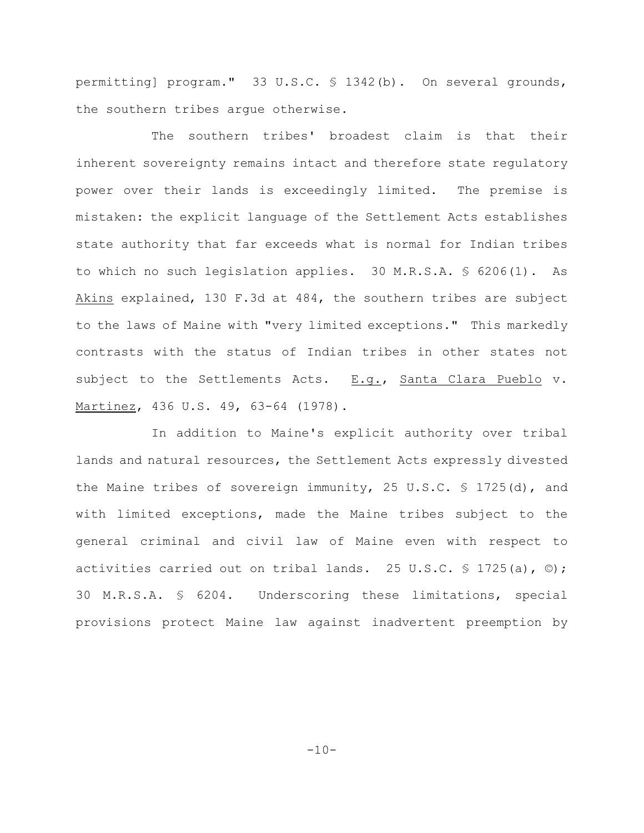permitting] program." 33 U.S.C. § 1342(b). On several grounds, the southern tribes argue otherwise.

The southern tribes' broadest claim is that their inherent sovereignty remains intact and therefore state regulatory power over their lands is exceedingly limited. The premise is mistaken: the explicit language of the Settlement Acts establishes state authority that far exceeds what is normal for Indian tribes to which no such legislation applies. 30 M.R.S.A. § 6206(1). As Akins explained, 130 F.3d at 484, the southern tribes are subject to the laws of Maine with "very limited exceptions." This markedly contrasts with the status of Indian tribes in other states not subject to the Settlements Acts. E.g., Santa Clara Pueblo v. Martinez, 436 U.S. 49, 63-64 (1978).

In addition to Maine's explicit authority over tribal lands and natural resources, the Settlement Acts expressly divested the Maine tribes of sovereign immunity, 25 U.S.C. § 1725(d), and with limited exceptions, made the Maine tribes subject to the general criminal and civil law of Maine even with respect to activities carried out on tribal lands. 25 U.S.C.  $\frac{1}{5}$  1725(a),  $\circ$ ); 30 M.R.S.A. § 6204. Underscoring these limitations, special provisions protect Maine law against inadvertent preemption by

 $-10-$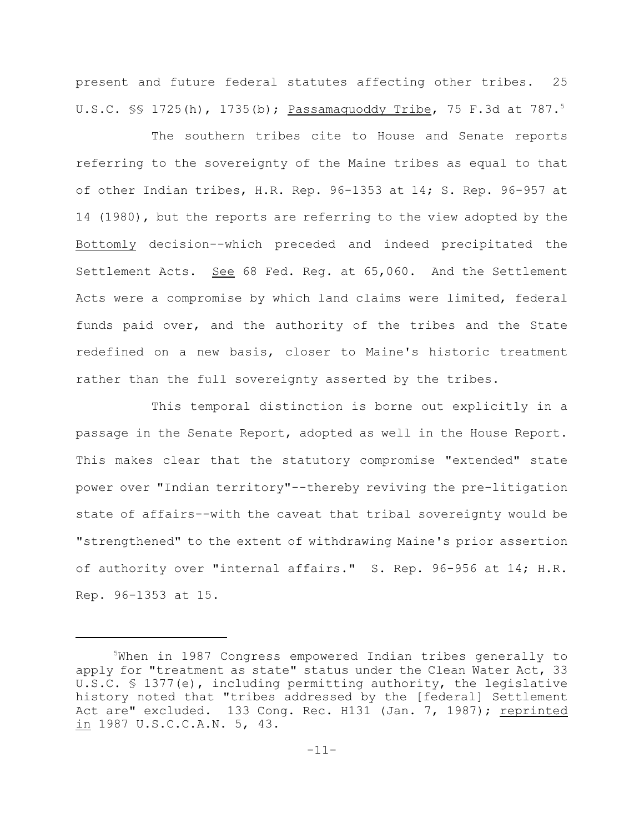present and future federal statutes affecting other tribes. 25 U.S.C. §§ 1725(h), 1735(b); Passamaquoddy Tribe, 75 F.3d at 787.<sup>5</sup>

The southern tribes cite to House and Senate reports referring to the sovereignty of the Maine tribes as equal to that of other Indian tribes, H.R. Rep. 96-1353 at 14; S. Rep. 96-957 at 14 (1980), but the reports are referring to the view adopted by the Bottomly decision--which preceded and indeed precipitated the Settlement Acts. See 68 Fed. Reg. at 65,060. And the Settlement Acts were a compromise by which land claims were limited, federal funds paid over, and the authority of the tribes and the State redefined on a new basis, closer to Maine's historic treatment rather than the full sovereignty asserted by the tribes.

This temporal distinction is borne out explicitly in a passage in the Senate Report, adopted as well in the House Report. This makes clear that the statutory compromise "extended" state power over "Indian territory"--thereby reviving the pre-litigation state of affairs--with the caveat that tribal sovereignty would be "strengthened" to the extent of withdrawing Maine's prior assertion of authority over "internal affairs." S. Rep. 96-956 at 14; H.R. Rep. 96-1353 at 15.

<sup>&</sup>lt;sup>5</sup>When in 1987 Congress empowered Indian tribes generally to apply for "treatment as state" status under the Clean Water Act, 33 U.S.C. § 1377(e), including permitting authority, the legislative history noted that "tribes addressed by the [federal] Settlement Act are" excluded. 133 Cong. Rec. H131 (Jan. 7, 1987); reprinted in 1987 U.S.C.C.A.N. 5, 43.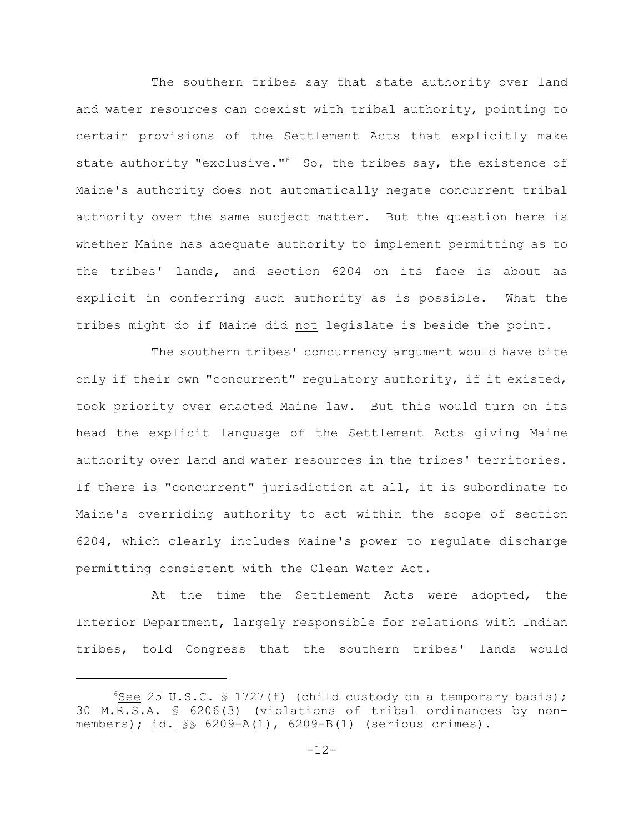The southern tribes say that state authority over land and water resources can coexist with tribal authority, pointing to certain provisions of the Settlement Acts that explicitly make state authority "exclusive." $6$  So, the tribes say, the existence of Maine's authority does not automatically negate concurrent tribal authority over the same subject matter. But the question here is whether Maine has adequate authority to implement permitting as to the tribes' lands, and section 6204 on its face is about as explicit in conferring such authority as is possible. What the tribes might do if Maine did not legislate is beside the point.

The southern tribes' concurrency argument would have bite only if their own "concurrent" regulatory authority, if it existed, took priority over enacted Maine law. But this would turn on its head the explicit language of the Settlement Acts giving Maine authority over land and water resources in the tribes' territories. If there is "concurrent" jurisdiction at all, it is subordinate to Maine's overriding authority to act within the scope of section 6204, which clearly includes Maine's power to regulate discharge permitting consistent with the Clean Water Act.

At the time the Settlement Acts were adopted, the Interior Department, largely responsible for relations with Indian tribes, told Congress that the southern tribes' lands would

See 25 U.S.C.  $\frac{1727(f)}{f}$  (child custody on a temporary basis); 30 M.R.S.A. § 6206(3) (violations of tribal ordinances by nonmembers); id. §§ 6209-A(1), 6209-B(1) (serious crimes).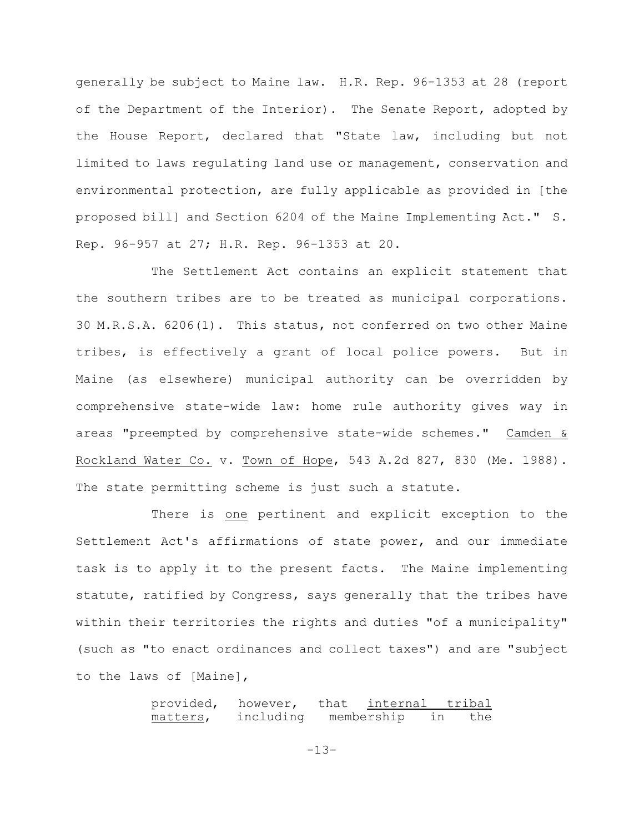generally be subject to Maine law. H.R. Rep. 96-1353 at 28 (report of the Department of the Interior). The Senate Report, adopted by the House Report, declared that "State law, including but not limited to laws regulating land use or management, conservation and environmental protection, are fully applicable as provided in [the proposed bill] and Section 6204 of the Maine Implementing Act." S. Rep. 96-957 at 27; H.R. Rep. 96-1353 at 20.

The Settlement Act contains an explicit statement that the southern tribes are to be treated as municipal corporations. 30 M.R.S.A. 6206(1). This status, not conferred on two other Maine tribes, is effectively a grant of local police powers. But in Maine (as elsewhere) municipal authority can be overridden by comprehensive state-wide law: home rule authority gives way in areas "preempted by comprehensive state-wide schemes." Camden & Rockland Water Co. v. Town of Hope, 543 A.2d 827, 830 (Me. 1988). The state permitting scheme is just such a statute.

There is one pertinent and explicit exception to the Settlement Act's affirmations of state power, and our immediate task is to apply it to the present facts. The Maine implementing statute, ratified by Congress, says generally that the tribes have within their territories the rights and duties "of a municipality" (such as "to enact ordinances and collect taxes") and are "subject to the laws of [Maine],

> provided, however, that internal tribal matters, including membership in the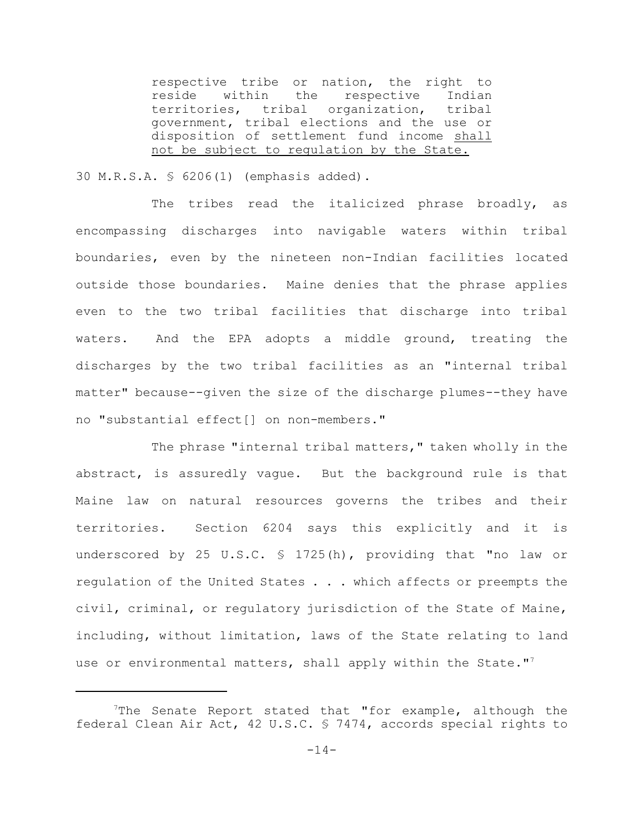respective tribe or nation, the right to reside within the respective Indian territories, tribal organization, tribal government, tribal elections and the use or disposition of settlement fund income shall not be subject to regulation by the State.

30 M.R.S.A. § 6206(1) (emphasis added).

The tribes read the italicized phrase broadly, as encompassing discharges into navigable waters within tribal boundaries, even by the nineteen non-Indian facilities located outside those boundaries. Maine denies that the phrase applies even to the two tribal facilities that discharge into tribal waters. And the EPA adopts a middle ground, treating the discharges by the two tribal facilities as an "internal tribal matter" because--given the size of the discharge plumes--they have no "substantial effect[] on non-members."

The phrase "internal tribal matters," taken wholly in the abstract, is assuredly vague. But the background rule is that Maine law on natural resources governs the tribes and their territories. Section 6204 says this explicitly and it is underscored by 25 U.S.C. § 1725(h), providing that "no law or regulation of the United States . . . which affects or preempts the civil, criminal, or regulatory jurisdiction of the State of Maine, including, without limitation, laws of the State relating to land use or environmental matters, shall apply within the State."<sup>7</sup>

The Senate Report stated that "for example, although the federal Clean Air Act, 42 U.S.C. § 7474, accords special rights to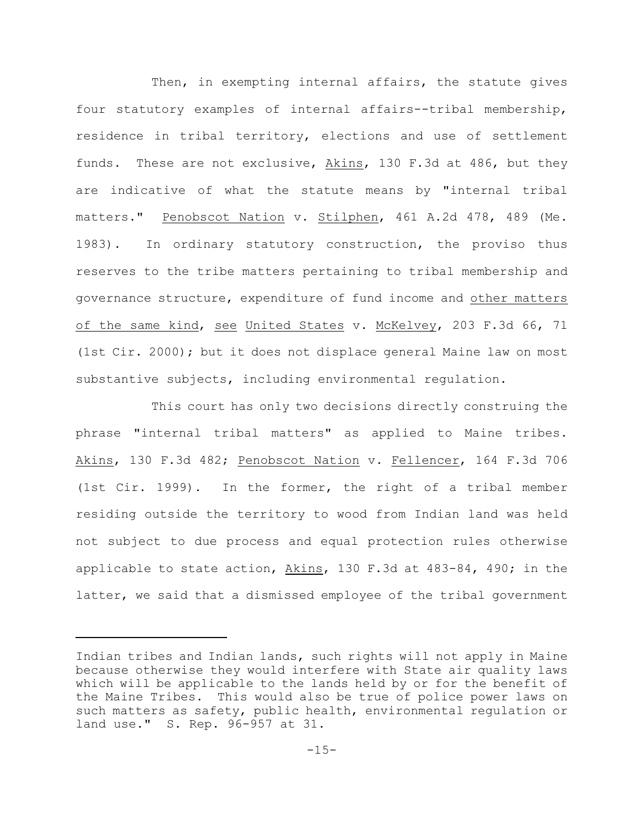Then, in exempting internal affairs, the statute gives four statutory examples of internal affairs--tribal membership, residence in tribal territory, elections and use of settlement funds. These are not exclusive, Akins, 130 F.3d at 486, but they are indicative of what the statute means by "internal tribal matters." Penobscot Nation v. Stilphen, 461 A.2d 478, 489 (Me. 1983). In ordinary statutory construction, the proviso thus reserves to the tribe matters pertaining to tribal membership and governance structure, expenditure of fund income and other matters of the same kind, see United States v. McKelvey, 203 F.3d 66, 71 (1st Cir. 2000); but it does not displace general Maine law on most substantive subjects, including environmental regulation.

This court has only two decisions directly construing the phrase "internal tribal matters" as applied to Maine tribes. Akins, 130 F.3d 482; Penobscot Nation v. Fellencer, 164 F.3d 706 (1st Cir. 1999). In the former, the right of a tribal member residing outside the territory to wood from Indian land was held not subject to due process and equal protection rules otherwise applicable to state action, Akins, 130 F.3d at 483-84, 490; in the latter, we said that a dismissed employee of the tribal government

Indian tribes and Indian lands, such rights will not apply in Maine because otherwise they would interfere with State air quality laws which will be applicable to the lands held by or for the benefit of the Maine Tribes. This would also be true of police power laws on such matters as safety, public health, environmental regulation or land use." S. Rep. 96-957 at 31.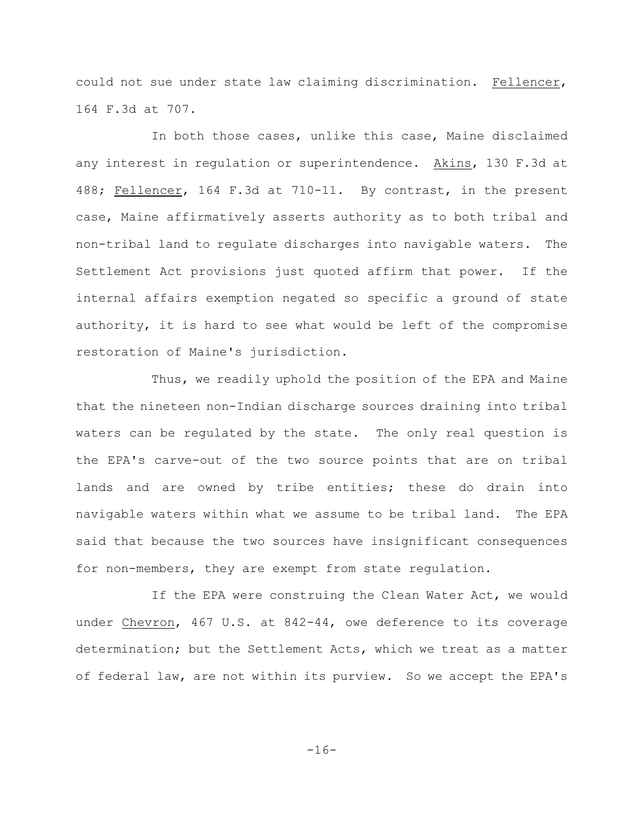could not sue under state law claiming discrimination. Fellencer, 164 F.3d at 707.

In both those cases, unlike this case, Maine disclaimed any interest in regulation or superintendence. Akins, 130 F.3d at 488; Fellencer, 164 F.3d at 710-11. By contrast, in the present case, Maine affirmatively asserts authority as to both tribal and non-tribal land to regulate discharges into navigable waters. The Settlement Act provisions just quoted affirm that power. If the internal affairs exemption negated so specific a ground of state authority, it is hard to see what would be left of the compromise restoration of Maine's jurisdiction.

Thus, we readily uphold the position of the EPA and Maine that the nineteen non-Indian discharge sources draining into tribal waters can be regulated by the state. The only real question is the EPA's carve-out of the two source points that are on tribal lands and are owned by tribe entities; these do drain into navigable waters within what we assume to be tribal land. The EPA said that because the two sources have insignificant consequences for non-members, they are exempt from state regulation.

If the EPA were construing the Clean Water Act, we would under Chevron, 467 U.S. at 842-44, owe deference to its coverage determination; but the Settlement Acts, which we treat as a matter of federal law, are not within its purview. So we accept the EPA's

-16-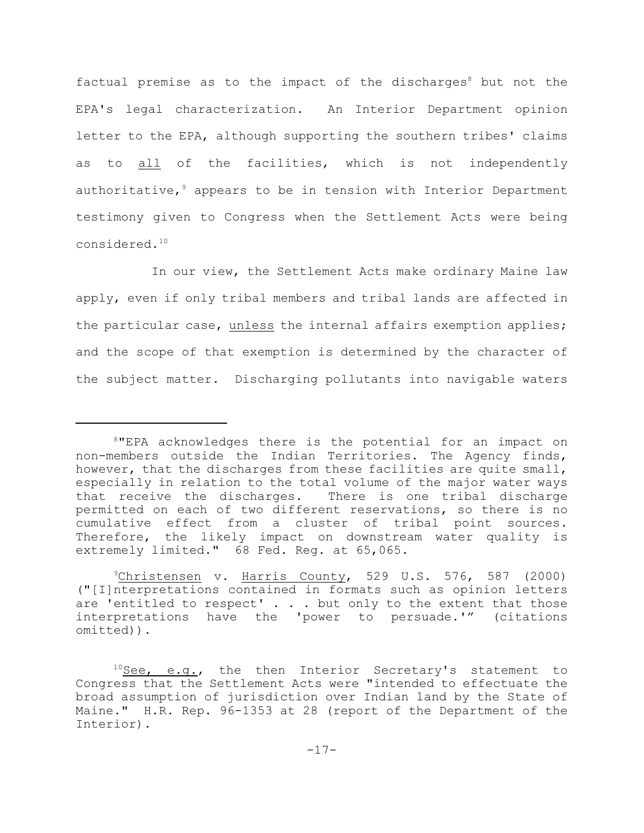factual premise as to the impact of the discharges<sup>8</sup> but not the EPA's legal characterization. An Interior Department opinion letter to the EPA, although supporting the southern tribes' claims as to all of the facilities, which is not independently authoritative,  $9$  appears to be in tension with Interior Department testimony given to Congress when the Settlement Acts were being considered.<sup>10</sup>

In our view, the Settlement Acts make ordinary Maine law apply, even if only tribal members and tribal lands are affected in the particular case, unless the internal affairs exemption applies; and the scope of that exemption is determined by the character of the subject matter. Discharging pollutants into navigable waters

 $8$ "EPA acknowledges there is the potential for an impact on non-members outside the Indian Territories. The Agency finds, however, that the discharges from these facilities are quite small, especially in relation to the total volume of the major water ways that receive the discharges. There is one tribal discharge permitted on each of two different reservations, so there is no cumulative effect from a cluster of tribal point sources. Therefore, the likely impact on downstream water quality is extremely limited." 68 Fed. Reg. at 65,065.

 $^9$ Christensen v. Harris County, 529 U.S. 576, 587 (2000) ("[I]nterpretations contained in formats such as opinion letters are 'entitled to respect' . . . but only to the extent that those interpretations have the 'power to persuade.'" (citations omitted)).

 $10$ See, e.g., the then Interior Secretary's statement to Congress that the Settlement Acts were "intended to effectuate the broad assumption of jurisdiction over Indian land by the State of Maine." H.R. Rep. 96-1353 at 28 (report of the Department of the Interior).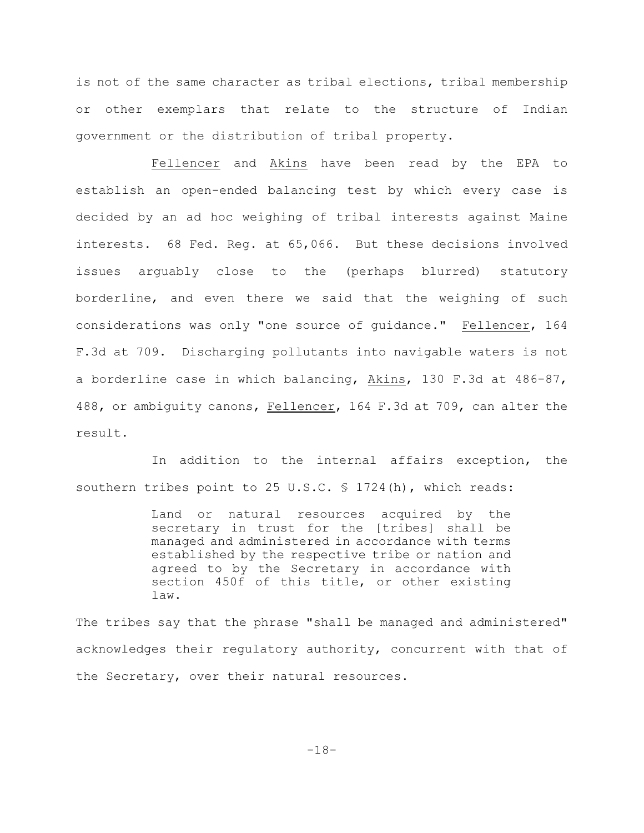is not of the same character as tribal elections, tribal membership or other exemplars that relate to the structure of Indian government or the distribution of tribal property.

Fellencer and Akins have been read by the EPA to establish an open-ended balancing test by which every case is decided by an ad hoc weighing of tribal interests against Maine interests. 68 Fed. Reg. at 65,066. But these decisions involved issues arguably close to the (perhaps blurred) statutory borderline, and even there we said that the weighing of such considerations was only "one source of guidance." Fellencer, 164 F.3d at 709. Discharging pollutants into navigable waters is not a borderline case in which balancing, Akins, 130 F.3d at 486-87, 488, or ambiguity canons, Fellencer, 164 F.3d at 709, can alter the result.

In addition to the internal affairs exception, the southern tribes point to 25 U.S.C. § 1724(h), which reads:

> Land or natural resources acquired by the secretary in trust for the [tribes] shall be managed and administered in accordance with terms established by the respective tribe or nation and agreed to by the Secretary in accordance with section 450f of this title, or other existing law.

The tribes say that the phrase "shall be managed and administered" acknowledges their regulatory authority, concurrent with that of the Secretary, over their natural resources.

-18-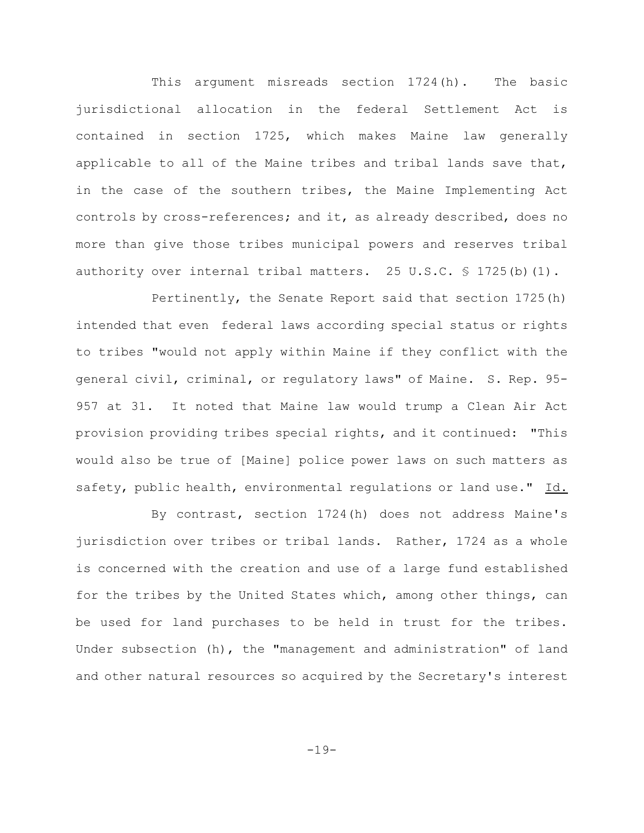This argument misreads section 1724(h). The basic jurisdictional allocation in the federal Settlement Act is contained in section 1725, which makes Maine law generally applicable to all of the Maine tribes and tribal lands save that, in the case of the southern tribes, the Maine Implementing Act controls by cross-references; and it, as already described, does no more than give those tribes municipal powers and reserves tribal authority over internal tribal matters. 25 U.S.C.  $\frac{1}{5}$  1725(b)(1).

Pertinently, the Senate Report said that section 1725(h) intended that even federal laws according special status or rights to tribes "would not apply within Maine if they conflict with the general civil, criminal, or regulatory laws" of Maine. S. Rep. 95- 957 at 31. It noted that Maine law would trump a Clean Air Act provision providing tribes special rights, and it continued: "This would also be true of [Maine] police power laws on such matters as safety, public health, environmental regulations or land use." Id.

By contrast, section 1724(h) does not address Maine's jurisdiction over tribes or tribal lands. Rather, 1724 as a whole is concerned with the creation and use of a large fund established for the tribes by the United States which, among other things, can be used for land purchases to be held in trust for the tribes. Under subsection (h), the "management and administration" of land and other natural resources so acquired by the Secretary's interest

-19-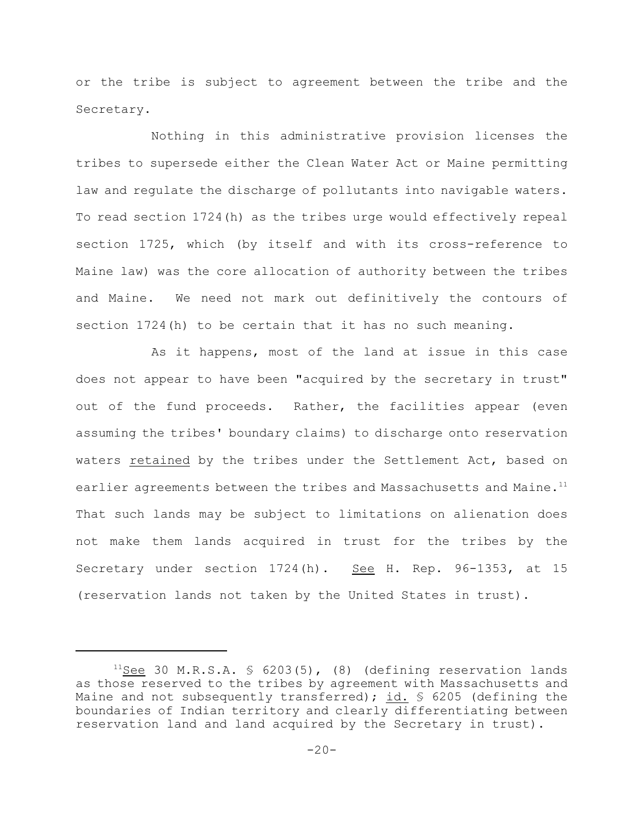or the tribe is subject to agreement between the tribe and the Secretary.

Nothing in this administrative provision licenses the tribes to supersede either the Clean Water Act or Maine permitting law and regulate the discharge of pollutants into navigable waters. To read section 1724(h) as the tribes urge would effectively repeal section 1725, which (by itself and with its cross-reference to Maine law) was the core allocation of authority between the tribes and Maine. We need not mark out definitively the contours of section 1724(h) to be certain that it has no such meaning.

As it happens, most of the land at issue in this case does not appear to have been "acquired by the secretary in trust" out of the fund proceeds. Rather, the facilities appear (even assuming the tribes' boundary claims) to discharge onto reservation waters retained by the tribes under the Settlement Act, based on earlier agreements between the tribes and Massachusetts and Maine.<sup>11</sup> That such lands may be subject to limitations on alienation does not make them lands acquired in trust for the tribes by the Secretary under section 1724(h). See H. Rep. 96-1353, at 15 (reservation lands not taken by the United States in trust).

 $11$ See 30 M.R.S.A. § 6203(5), (8) (defining reservation lands as those reserved to the tribes by agreement with Massachusetts and Maine and not subsequently transferred); id.  $\frac{1}{5}$  6205 (defining the boundaries of Indian territory and clearly differentiating between reservation land and land acquired by the Secretary in trust).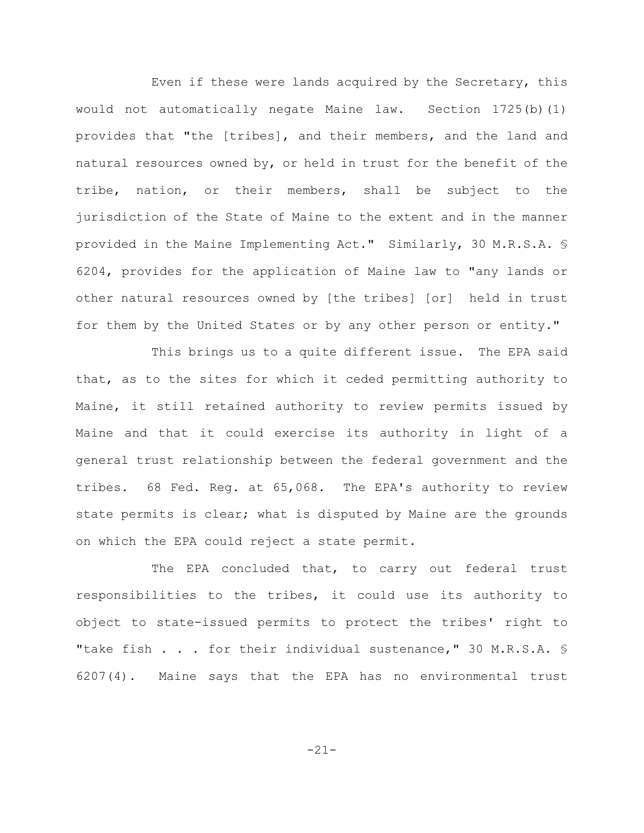Even if these were lands acquired by the Secretary, this would not automatically negate Maine law. Section 1725(b)(1) provides that "the [tribes], and their members, and the land and natural resources owned by, or held in trust for the benefit of the tribe, nation, or their members, shall be subject to the jurisdiction of the State of Maine to the extent and in the manner provided in the Maine Implementing Act." Similarly, 30 M.R.S.A. § 6204, provides for the application of Maine law to "any lands or other natural resources owned by [the tribes] [or] held in trust for them by the United States or by any other person or entity."

This brings us to a quite different issue. The EPA said that, as to the sites for which it ceded permitting authority to Maine, it still retained authority to review permits issued by Maine and that it could exercise its authority in light of a general trust relationship between the federal government and the tribes. 68 Fed. Reg. at 65,068. The EPA's authority to review state permits is clear; what is disputed by Maine are the grounds on which the EPA could reject a state permit.

The EPA concluded that, to carry out federal trust responsibilities to the tribes, it could use its authority to object to state-issued permits to protect the tribes' right to "take fish . . . for their individual sustenance," 30 M.R.S.A. \$ 6207(4). Maine says that the EPA has no environmental trust

-21-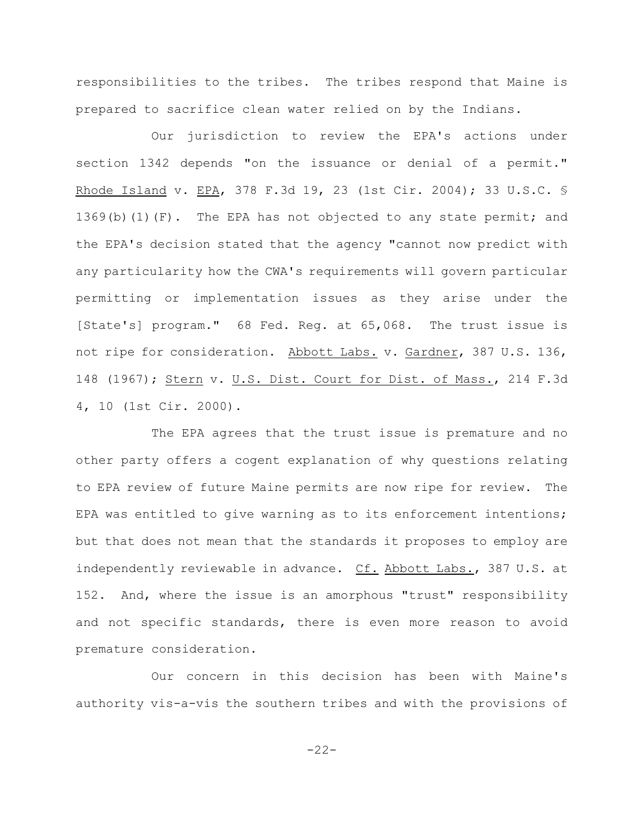responsibilities to the tribes. The tribes respond that Maine is prepared to sacrifice clean water relied on by the Indians.

Our jurisdiction to review the EPA's actions under section 1342 depends "on the issuance or denial of a permit." Rhode Island v. EPA, 378 F.3d 19, 23 (1st Cir. 2004); 33 U.S.C. § 1369(b)(1)(F). The EPA has not objected to any state permit; and the EPA's decision stated that the agency "cannot now predict with any particularity how the CWA's requirements will govern particular permitting or implementation issues as they arise under the [State's] program." 68 Fed. Reg. at 65,068. The trust issue is not ripe for consideration. Abbott Labs. v. Gardner, 387 U.S. 136, 148 (1967); Stern v. U.S. Dist. Court for Dist. of Mass., 214 F.3d 4, 10 (1st Cir. 2000).

The EPA agrees that the trust issue is premature and no other party offers a cogent explanation of why questions relating to EPA review of future Maine permits are now ripe for review. The EPA was entitled to give warning as to its enforcement intentions; but that does not mean that the standards it proposes to employ are independently reviewable in advance. Cf. Abbott Labs., 387 U.S. at 152. And, where the issue is an amorphous "trust" responsibility and not specific standards, there is even more reason to avoid premature consideration.

Our concern in this decision has been with Maine's authority vis-a-vis the southern tribes and with the provisions of

-22-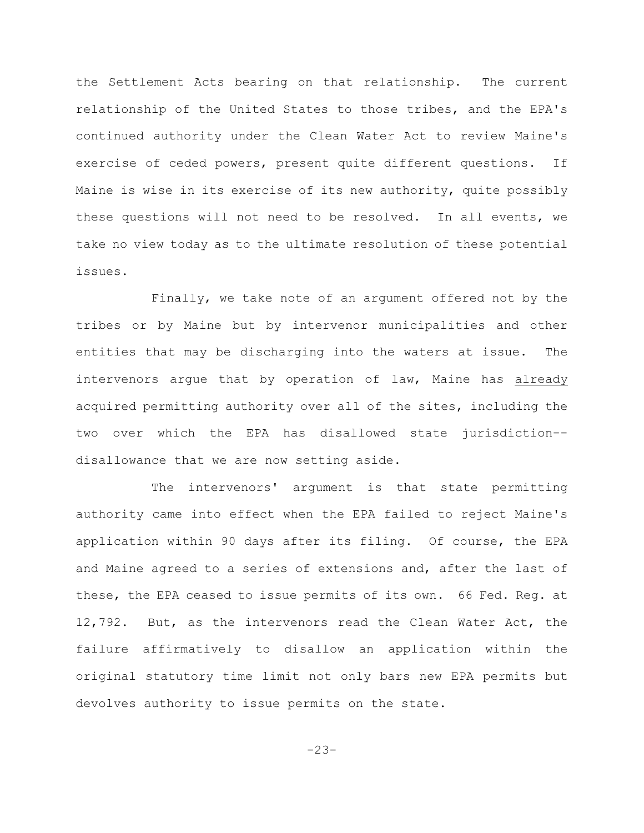the Settlement Acts bearing on that relationship. The current relationship of the United States to those tribes, and the EPA's continued authority under the Clean Water Act to review Maine's exercise of ceded powers, present quite different questions. If Maine is wise in its exercise of its new authority, quite possibly these questions will not need to be resolved. In all events, we take no view today as to the ultimate resolution of these potential issues.

Finally, we take note of an argument offered not by the tribes or by Maine but by intervenor municipalities and other entities that may be discharging into the waters at issue. The intervenors argue that by operation of law, Maine has already acquired permitting authority over all of the sites, including the two over which the EPA has disallowed state jurisdiction- disallowance that we are now setting aside.

The intervenors' argument is that state permitting authority came into effect when the EPA failed to reject Maine's application within 90 days after its filing. Of course, the EPA and Maine agreed to a series of extensions and, after the last of these, the EPA ceased to issue permits of its own. 66 Fed. Reg. at 12,792. But, as the intervenors read the Clean Water Act, the failure affirmatively to disallow an application within the original statutory time limit not only bars new EPA permits but devolves authority to issue permits on the state.

-23-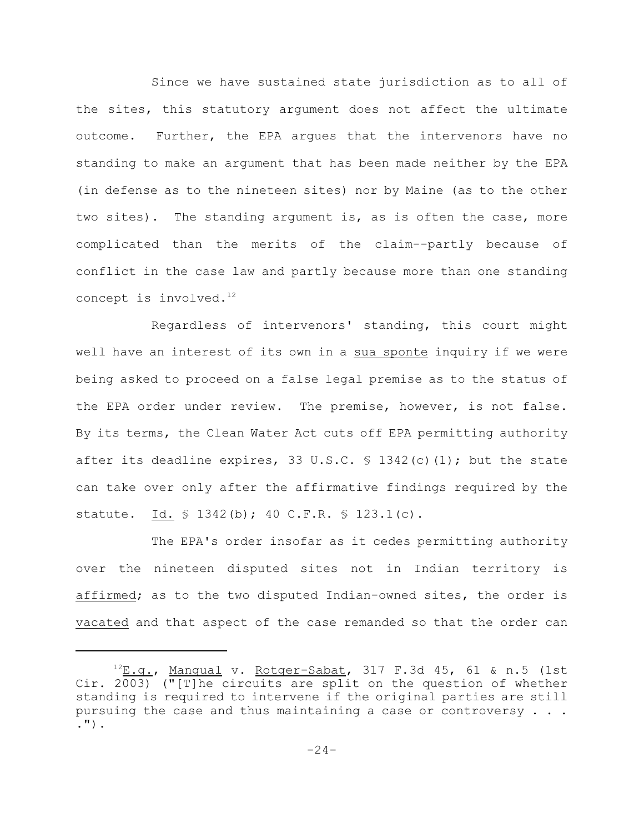Since we have sustained state jurisdiction as to all of the sites, this statutory argument does not affect the ultimate outcome. Further, the EPA argues that the intervenors have no standing to make an argument that has been made neither by the EPA (in defense as to the nineteen sites) nor by Maine (as to the other two sites). The standing argument is, as is often the case, more complicated than the merits of the claim--partly because of conflict in the case law and partly because more than one standing concept is involved.<sup>12</sup>

Regardless of intervenors' standing, this court might well have an interest of its own in a sua sponte inquiry if we were being asked to proceed on a false legal premise as to the status of the EPA order under review. The premise, however, is not false. By its terms, the Clean Water Act cuts off EPA permitting authority after its deadline expires, 33 U.S.C.  $\frac{1}{2}$  1342(c)(1); but the state can take over only after the affirmative findings required by the statute. Id. § 1342(b); 40 C.F.R. § 123.1(c).

The EPA's order insofar as it cedes permitting authority over the nineteen disputed sites not in Indian territory is affirmed; as to the two disputed Indian-owned sites, the order is vacated and that aspect of the case remanded so that the order can

 $^{12}E.g.,$  Mangual v. Rotger-Sabat, 317 F.3d 45, 61 & n.5 (1st Cir. 2003) ("[T]he circuits are split on the question of whether standing is required to intervene if the original parties are still pursuing the case and thus maintaining a case or controversy  $\ldots$ . .").